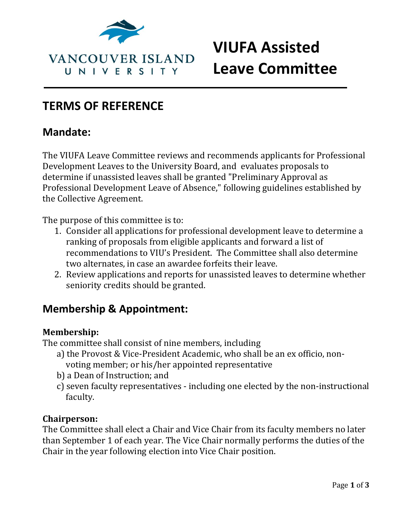

# **VIUFA Assisted Leave Committee**

## **TERMS OF REFERENCE**

## **Mandate:**

The VIUFA Leave Committee reviews and recommends applicants for Professional Development Leaves to the University Board, and evaluates proposals to determine if unassisted leaves shall be granted "Preliminary Approval as Professional Development Leave of Absence," following guidelines established by the Collective Agreement.

The purpose of this committee is to:

- 1. Consider all applications for professional development leave to determine a ranking of proposals from eligible applicants and forward a list of recommendations to VIU's President. The Committee shall also determine two alternates, in case an awardee forfeits their leave.
- 2. Review applications and reports for unassisted leaves to determine whether seniority credits should be granted.

## **Membership & Appointment:**

#### **Membership:**

The committee shall consist of nine members, including

- a) the Provost & Vice-President Academic, who shall be an ex officio, nonvoting member; or his/her appointed representative
- b) a Dean of Instruction; and
- c) seven faculty representatives including one elected by the non-instructional faculty.

#### **Chairperson:**

The Committee shall elect a Chair and Vice Chair from its faculty members no later than September 1 of each year. The Vice Chair normally performs the duties of the Chair in the year following election into Vice Chair position.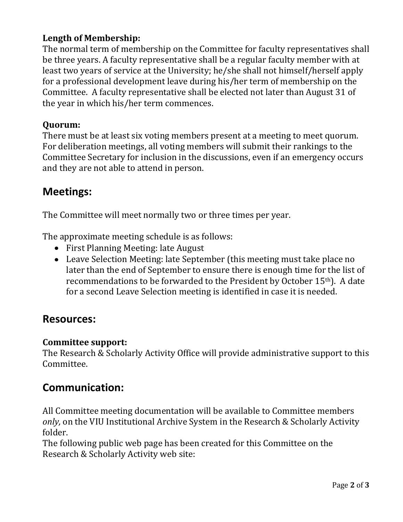#### **Length of Membership:**

The normal term of membership on the Committee for faculty representatives shall be three years. A faculty representative shall be a regular faculty member with at least two years of service at the University; he/she shall not himself/herself apply for a professional development leave during his/her term of membership on the Committee. A faculty representative shall be elected not later than August 31 of the year in which his/her term commences.

#### **Quorum:**

There must be at least six voting members present at a meeting to meet quorum. For deliberation meetings, all voting members will submit their rankings to the Committee Secretary for inclusion in the discussions, even if an emergency occurs and they are not able to attend in person.

## **Meetings:**

The Committee will meet normally two or three times per year.

The approximate meeting schedule is as follows:

- First Planning Meeting: late August
- Leave Selection Meeting: late September (this meeting must take place no later than the end of September to ensure there is enough time for the list of recommendations to be forwarded to the President by October 15th). A date for a second Leave Selection meeting is identified in case it is needed.

#### **Resources:**

#### **Committee support:**

The Research & Scholarly Activity Office will provide administrative support to this Committee.

### **Communication:**

All Committee meeting documentation will be available to Committee members *only,* on the VIU Institutional Archive System in the Research & Scholarly Activity folder.

The following public web page has been created for this Committee on the Research & Scholarly Activity web site: